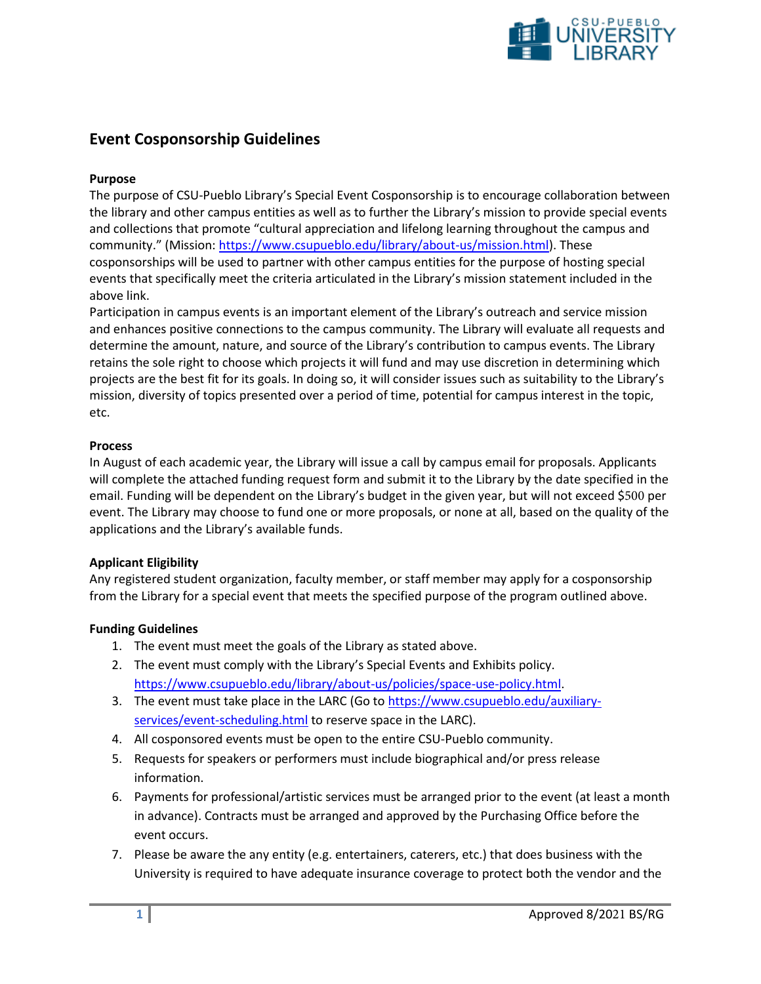

# **Event Cosponsorship Guidelines**

### **Purpose**

The purpose of CSU-Pueblo Library's Special Event Cosponsorship is to encourage collaboration between the library and other campus entities as well as to further the Library's mission to provide special events and collections that promote "cultural appreciation and lifelong learning throughout the campus and community." (Mission: [https://www.csupueblo.edu/library/about-us/mission.html\)](https://www.csupueblo.edu/library/about-us/mission.html). These cosponsorships will be used to partner with other campus entities for the purpose of hosting special events that specifically meet the criteria articulated in the Library's mission statement included in the above link.

Participation in campus events is an important element of the Library's outreach and service mission and enhances positive connections to the campus community. The Library will evaluate all requests and determine the amount, nature, and source of the Library's contribution to campus events. The Library retains the sole right to choose which projects it will fund and may use discretion in determining which projects are the best fit for its goals. In doing so, it will consider issues such as suitability to the Library's mission, diversity of topics presented over a period of time, potential for campus interest in the topic, etc.

#### **Process**

In August of each academic year, the Library will issue a call by campus email for proposals. Applicants will complete the attached funding request form and submit it to the Library by the date specified in the email. Funding will be dependent on the Library's budget in the given year, but will not exceed \$500 per event. The Library may choose to fund one or more proposals, or none at all, based on the quality of the applications and the Library's available funds.

#### **Applicant Eligibility**

Any registered student organization, faculty member, or staff member may apply for a cosponsorship from the Library for a special event that meets the specified purpose of the program outlined above.

## **Funding Guidelines**

- 1. The event must meet the goals of the Library as stated above.
- 2. The event must comply with the Library's Special Events and Exhibits policy. [https://www.csupueblo.edu/library/about-us/policies/space-use-policy.html.](https://www.csupueblo.edu/library/about-us/policies/space-use-policy.html)
- 3. The event must take place in the LARC (Go to [https://www.csupueblo.edu/auxiliary](https://www.csupueblo.edu/auxiliary-services/event-scheduling.html)[services/event-scheduling.html](https://www.csupueblo.edu/auxiliary-services/event-scheduling.html) to reserve space in the LARC).
- 4. All cosponsored events must be open to the entire CSU-Pueblo community.
- 5. Requests for speakers or performers must include biographical and/or press release information.
- 6. Payments for professional/artistic services must be arranged prior to the event (at least a month in advance). Contracts must be arranged and approved by the Purchasing Office before the event occurs.
- 7. Please be aware the any entity (e.g. entertainers, caterers, etc.) that does business with the University is required to have adequate insurance coverage to protect both the vendor and the